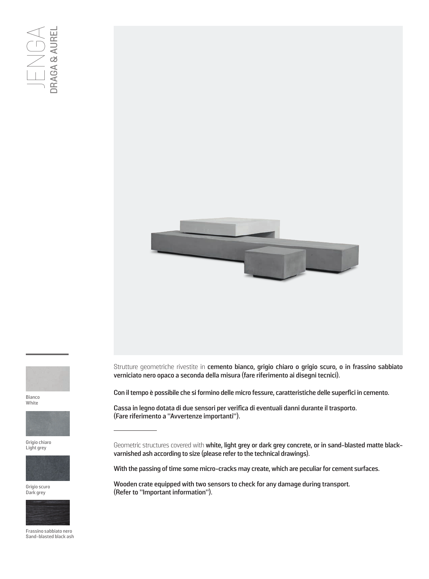



Bianco White



Grigio chiaro Light grey



Grigio scuro Dark grey



Frassino sabbiato nero Sand-blasted black ash

Strutture geometriche rivestite in **cemento bianco, grigio chiaro o grigio scuro, o in frassino sabbiato verniciato nero opaco a seconda della misura (fare riferimento ai disegni tecnici).**

**Con il tempo è possibile che si formino delle micro fessure, caratteristiche delle superfici in cemento.**

**Cassa in legno dotata di due sensori per verifica di eventuali danni durante il trasporto. (Fare riferimento a "Avvertenze importanti").**

Geometric structures covered with **white, light grey or dark grey concrete, or in sand-blasted matte blackvarnished ash according to size (please refer to the technical drawings).**

**With the passing of time some micro-cracks may create, which are peculiar for cement surfaces.**

**Wooden crate equipped with two sensors to check for any damage during transport. (Refer to "Important information").**